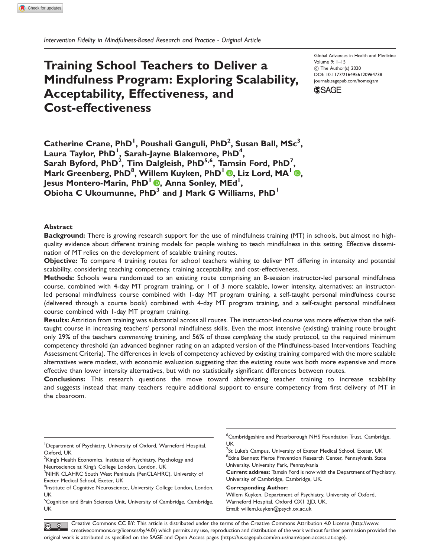# Training School Teachers to Deliver a Mindfulness Program: Exploring Scalability, Acceptability, Effectiveness, and Cost-effectiveness

Global Advances in Health and Medicine Volume 9: 1–15  $\circledcirc$  The Author(s) 2020 [DOI: 10.1177/2164956120964738](http://dx.doi.org/10.1177/2164956120964738) <journals.sagepub.com/home/gam>



 $\sf{C}$ atherine Crane,  $\sf{PhD}^1$ , Poushali Ganguli,  $\sf{PhD}^2$ , Susan Ball,  $\sf{MSC}^3,$ Laura Taylor, PhD<sup>1</sup>, Sarah-Jayne Blakemore, PhD<sup>4</sup>, Sarah Byford, PhD<sup>2</sup>, Tim Dalgleish, PhD<sup>5,6</sup>, Tamsin Ford, PhD<sup>7</sup>, Mark Greenberg, PhD<sup>8</sup>, Willem Kuyken, PhD<sup>1</sup> (D, Liz Lord, MA<sup>1</sup> (D, Jesus Montero-Marin, PhD<sup>I</sup> ®, Anna Sonley, MEd<sup>1</sup>, Obioha C Ukoumunne,  $PhD<sup>3</sup>$  and J Mark G Williams,  $PhD<sup>1</sup>$ 

## **Abstract**

Background: There is growing research support for the use of mindfulness training (MT) in schools, but almost no highquality evidence about different training models for people wishing to teach mindfulness in this setting. Effective dissemination of MT relies on the development of scalable training routes.

Objective: To compare 4 training routes for school teachers wishing to deliver MT differing in intensity and potential scalability, considering teaching competency, training acceptability, and cost-effectiveness.

Methods: Schools were randomized to an existing route comprising an 8-session instructor-led personal mindfulness course, combined with 4-day MT program training, or 1 of 3 more scalable, lower intensity, alternatives: an instructorled personal mindfulness course combined with 1-day MT program training, a self-taught personal mindfulness course (delivered through a course book) combined with 4-day MT program training, and a self-taught personal mindfulness course combined with 1-day MT program training.

Results: Attrition from training was substantial across all routes. The instructor-led course was more effective than the selftaught course in increasing teachers' personal mindfulness skills. Even the most intensive (existing) training route brought only 29% of the teachers commencing training, and 56% of those completing the study protocol, to the required minimum competency threshold (an advanced beginner rating on an adapted version of the Mindfulness-based Interventions Teaching Assessment Criteria). The differences in levels of competency achieved by existing training compared with the more scalable alternatives were modest, with economic evaluation suggesting that the existing route was both more expensive and more effective than lower intensity alternatives, but with no statistically significant differences between routes.

Conclusions: This research questions the move toward abbreviating teacher training to increase scalability and suggests instead that many teachers require additional support to ensure competency from first delivery of MT in the classroom.

 $^2$ King's Health Economics, Institute of Psychiatry, Psychology and Neuroscience at King's College London, London, UK

<sup>7</sup>St Luke's Campus, University of Exeter Medical School, Exeter, UK <sup>8</sup>Edna Bennett Pierce Prevention Research Center, Pennsylvania State University, University Park, Pennsylvania

Current address: Tamsin Ford is now with the Department of Psychiatry, University of Cambridge, Cambridge, UK.

Corresponding Author:

Willem Kuyken, Department of Psychiatry, University of Oxford, Warneford Hospital, Oxford OX1 2JD, UK. Email: [willem.kuyken@psych.ox.ac.uk](mailto:willem.kuyken@psych.ox.ac.uk)

Creative Commons CC BY: This article is distributed under the terms of the Creative Commons Attribution 4.0 License (http://www.  $\circledcirc$ creativecommons.org/licenses/by/4.0/) which permits any use, reproduction and distribution of the work without further permission provided the original work is attributed as specified on the SAGE and Open Access pages (https://us.sagepub.com/en-us/nam/open-access-at-sage).

<sup>&</sup>lt;sup>1</sup>Department of Psychiatry, University of Oxford, Warneford Hospital, Oxford, UK

<sup>&</sup>lt;sup>3</sup>NIHR CLAHRC South West Peninsula (PenCLAHRC), University of Exeter Medical School, Exeter, UK

<sup>&</sup>lt;sup>4</sup>Institute of Cognitive Neuroscience, University College London, London, UK

<sup>&</sup>lt;sup>5</sup>Cognition and Brain Sciences Unit, University of Cambridge, Cambridge, UK

<sup>6</sup> Cambridgeshire and Peterborough NHS Foundation Trust, Cambridge, UK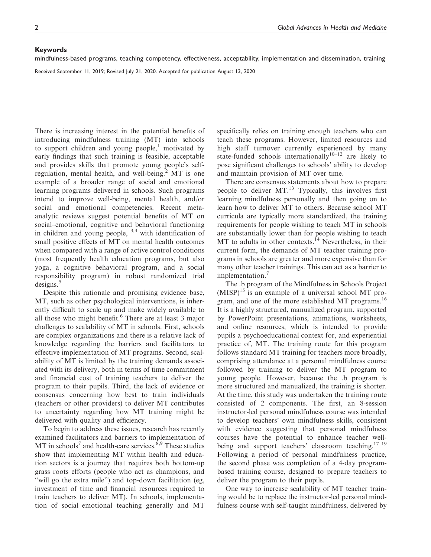#### Keywords

mindfulness-based programs, teaching competency, effectiveness, acceptability, implementation and dissemination, training

Received September 11, 2019; Revised July 21, 2020. Accepted for publication August 13, 2020

There is increasing interest in the potential benefits of introducing mindfulness training (MT) into schools to support children and young people, $<sup>1</sup>$  motivated by</sup> early findings that such training is feasible, acceptable and provides skills that promote young people's selfregulation, mental health, and well-being. $<sup>2</sup>$  MT is one</sup> example of a broader range of social and emotional learning programs delivered in schools. Such programs intend to improve well-being, mental health, and/or social and emotional competencies. Recent metaanalytic reviews suggest potential benefits of MT on social–emotional, cognitive and behavioral functioning in children and young people,  $3,4$  with identification of small positive effects of MT on mental health outcomes when compared with a range of active control conditions (most frequently health education programs, but also yoga, a cognitive behavioral program, and a social responsibility program) in robust randomized trial designs.<sup>5</sup>

Despite this rationale and promising evidence base, MT, such as other psychological interventions, is inherently difficult to scale up and make widely available to all those who might benefit.<sup>6</sup> There are at least 3 major challenges to scalability of MT in schools. First, schools are complex organizations and there is a relative lack of knowledge regarding the barriers and facilitators to effective implementation of MT programs. Second, scalability of MT is limited by the training demands associated with its delivery, both in terms of time commitment and financial cost of training teachers to deliver the program to their pupils. Third, the lack of evidence or consensus concerning how best to train individuals (teachers or other providers) to deliver MT contributes to uncertainty regarding how MT training might be delivered with quality and efficiency.

To begin to address these issues, research has recently examined facilitators and barriers to implementation of  $MT$  in schools<sup>7</sup> and health-care services.<sup>8,9</sup> These studies show that implementing MT within health and education sectors is a journey that requires both bottom-up grass roots efforts (people who act as champions, and "will go the extra mile") and top-down facilitation (eg, investment of time and financial resources required to train teachers to deliver MT). In schools, implementation of social–emotional teaching generally and MT

specifically relies on training enough teachers who can teach these programs. However, limited resources and high staff turnover currently experienced by many state-funded schools internationally<sup>10–12</sup> are likely to pose significant challenges to schools' ability to develop and maintain provision of MT over time.

There are consensus statements about how to prepare people to deliver MT.<sup>13</sup> Typically, this involves first learning mindfulness personally and then going on to learn how to deliver MT to others. Because school MT curricula are typically more standardized, the training requirements for people wishing to teach MT in schools are substantially lower than for people wishing to teach MT to adults in other contexts.<sup>14</sup> Nevertheless, in their current form, the demands of MT teacher training programs in schools are greater and more expensive than for many other teacher trainings. This can act as a barrier to implementation.<sup>7</sup>

The .b program of the Mindfulness in Schools Project  $(MISP)^{15}$  is an example of a universal school MT program, and one of the more established MT programs.<sup>16</sup> It is a highly structured, manualized program, supported by PowerPoint presentations, animations, worksheets, and online resources, which is intended to provide pupils a psychoeducational context for, and experiential practice of, MT. The training route for this program follows standard MT training for teachers more broadly, comprising attendance at a personal mindfulness course followed by training to deliver the MT program to young people. However, because the .b program is more structured and manualized, the training is shorter. At the time, this study was undertaken the training route consisted of 2 components. The first, an 8-session instructor-led personal mindfulness course was intended to develop teachers' own mindfulness skills, consistent with evidence suggesting that personal mindfulness courses have the potential to enhance teacher wellbeing and support teachers' classroom teaching.<sup>17-19</sup> Following a period of personal mindfulness practice, the second phase was completion of a 4-day programbased training course, designed to prepare teachers to deliver the program to their pupils.

One way to increase scalability of MT teacher training would be to replace the instructor-led personal mindfulness course with self-taught mindfulness, delivered by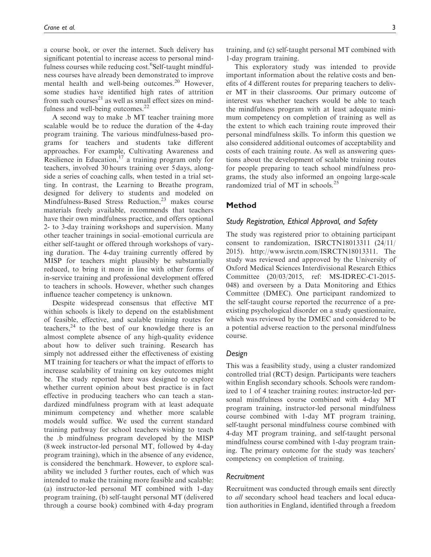a course book, or over the internet. Such delivery has significant potential to increase access to personal mindfulness courses while reducing cost.<sup>6</sup>Self-taught mindfulness courses have already been demonstrated to improve mental health and well-being outcomes.<sup>20</sup> However, some studies have identified high rates of attrition from such courses $^{21}$  as well as small effect sizes on mindfulness and well-being outcomes.<sup>22</sup>

A second way to make .b MT teacher training more scalable would be to reduce the duration of the 4-day program training. The various mindfulness-based programs for teachers and students take different approaches. For example, Cultivating Awareness and Resilience in Education, $17$  a training program only for teachers, involved 30 hours training over 5 days, alongside a series of coaching calls, when tested in a trial setting. In contrast, the Learning to Breathe program, designed for delivery to students and modeled on Mindfulness-Based Stress Reduction, $^{23}$  makes course materials freely available, recommends that teachers have their own mindfulness practice, and offers optional 2- to 3-day training workshops and supervision. Many other teacher trainings in social–emotional curricula are either self-taught or offered through workshops of varying duration. The 4-day training currently offered by MISP for teachers might plausibly be substantially reduced, to bring it more in line with other forms of in-service training and professional development offered to teachers in schools. However, whether such changes influence teacher competency is unknown.

Despite widespread consensus that effective MT within schools is likely to depend on the establishment of feasible, effective, and scalable training routes for teachers, $24$  to the best of our knowledge there is an almost complete absence of any high-quality evidence about how to deliver such training. Research has simply not addressed either the effectiveness of existing MT training for teachers or what the impact of efforts to increase scalability of training on key outcomes might be. The study reported here was designed to explore whether current opinion about best practice is in fact effective in producing teachers who can teach a standardized mindfulness program with at least adequate minimum competency and whether more scalable models would suffice. We used the current standard training pathway for school teachers wishing to teach the .b mindfulness program developed by the MISP (8 week instructor-led personal MT, followed by 4-day program training), which in the absence of any evidence, is considered the benchmark. However, to explore scalability we included 3 further routes, each of which was intended to make the training more feasible and scalable: (a) instructor-led personal MT combined with 1-day program training, (b) self-taught personal MT (delivered through a course book) combined with 4-day program training, and (c) self-taught personal MT combined with 1-day program training.

This exploratory study was intended to provide important information about the relative costs and benefits of 4 different routes for preparing teachers to deliver MT in their classrooms. Our primary outcome of interest was whether teachers would be able to teach the mindfulness program with at least adequate minimum competency on completion of training as well as the extent to which each training route improved their personal mindfulness skills. To inform this question we also considered additional outcomes of acceptability and costs of each training route. As well as answering questions about the development of scalable training routes for people preparing to teach school mindfulness programs, the study also informed an ongoing large-scale randomized trial of MT in schools.<sup>25</sup>

# Method

## Study Registration, Ethical Approval, and Safety

The study was registered prior to obtaining participant consent to randomization, ISRCTN18013311 (24/11/ 2015). http://www.isrctn.com/ISRCTN18013311. The study was reviewed and approved by the University of Oxford Medical Sciences Interdivisional Research Ethics Committee (20/03/2015, ref: MS-IDREC-C1-2015- 048) and overseen by a Data Monitoring and Ethics Committee (DMEC). One participant randomized to the self-taught course reported the recurrence of a preexisting psychological disorder on a study questionnaire, which was reviewed by the DMEC and considered to be a potential adverse reaction to the personal mindfulness course.

## Design

This was a feasibility study, using a cluster randomized controlled trial (RCT) design. Participants were teachers within English secondary schools. Schools were randomized to 1 of 4 teacher training routes: instructor-led personal mindfulness course combined with 4-day MT program training, instructor-led personal mindfulness course combined with 1-day MT program training, self-taught personal mindfulness course combined with 4-day MT program training, and self-taught personal mindfulness course combined with 1-day program training. The primary outcome for the study was teachers' competency on completion of training.

## Recruitment

Recruitment was conducted through emails sent directly to all secondary school head teachers and local education authorities in England, identified through a freedom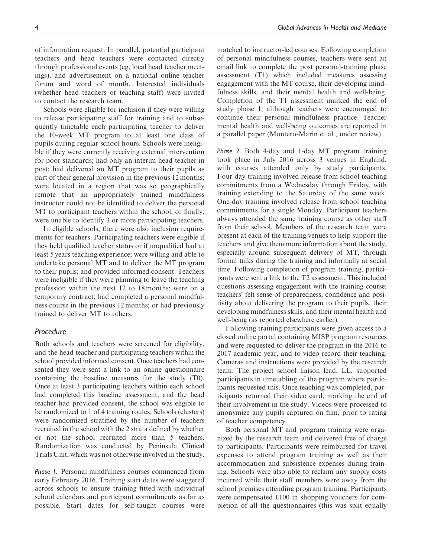of information request. In parallel, potential participant teachers and head teachers were contacted directly through professional events (eg, local head teacher meetings), and advertisement on a national online teacher forum and word of mouth. Interested individuals (whether head teachers or teaching staff) were invited to contact the research team.

Schools were eligible for inclusion if they were willing to release participating staff for training and to subsequently timetable each participating teacher to deliver the 10-week MT program to at least one class of pupils during regular school hours. Schools were ineligible if they were currently receiving external intervention for poor standards; had only an interim head teacher in post; had delivered an MT program to their pupils as part of their general provision in the previous 12 months; were located in a region that was so geographically remote that an appropriately trained mindfulness instructor could not be identified to deliver the personal MT to participant teachers within the school, or finally; were unable to identify 3 or more participating teachers.

In eligible schools, there were also inclusion requirements for teachers. Participating teachers were eligible if they held qualified teacher status or if unqualified had at least 5 years teaching experience; were willing and able to undertake personal MT and to deliver the MT program to their pupils; and provided informed consent. Teachers were ineligible if they were planning to leave the teaching profession within the next 12 to 18 months; were on a temporary contract; had completed a personal mindfulness course in the previous 12 months; or had previously trained to deliver MT to others.

## Procedure

Both schools and teachers were screened for eligibility, and the head teacher and participating teachers within the school provided informed consent. Once teachers had consented they were sent a link to an online questionnaire containing the baseline measures for the study (T0). Once at least 3 participating teachers within each school had completed this baseline assessment, and the head teacher had provided consent, the school was eligible to be randomized to 1 of 4 training routes. Schools (clusters) were randomized stratified by the number of teachers recruited in the school with the 2 strata defined by whether or not the school recruited more than 5 teachers. Randomization was conducted by Peninsula Clinical Trials Unit, which was not otherwise involved in the study.

Phase 1. Personal mindfulness courses commenced from early February 2016. Training start dates were staggered across schools to ensure training fitted with individual school calendars and participant commitments as far as possible. Start dates for self-taught courses were matched to instructor-led courses. Following completion of personal mindfulness courses, teachers were sent an email link to complete the post personal-training phase assessment (T1) which included measures assessing engagement with the MT course, their developing mindfulness skills, and their mental health and well-being. Completion of the T1 assessment marked the end of study phase 1, although teachers were encouraged to continue their personal mindfulness practice. Teacher mental health and well-being outcomes are reported in a parallel paper (Montero-Marin et al., under review).

Phase 2. Both 4-day and 1-day MT program training took place in July 2016 across 3 venues in England, with courses attended only by study participants. Four-day training involved release from school teaching commitments from a Wednesday through Friday, with training extending to the Saturday of the same week. One-day training involved release from school teaching commitments for a single Monday. Participant teachers always attended the same training course as other staff from their school. Members of the research team were present at each of the training venues to help support the teachers and give them more information about the study, especially around subsequent delivery of MT, through formal talks during the training and informally at social time. Following completion of program training, participants were sent a link to the T2 assessment. This included questions assessing engagement with the training course: teachers' felt sense of preparedness, confidence and positivity about delivering the program to their pupils, their developing mindfulness skills, and their mental health and well-being (as reported elsewhere earlier).

Following training participants were given access to a closed online portal containing MISP program resources and were requested to deliver the program in the 2016 to 2017 academic year, and to video record their teaching. Cameras and instructions were provided by the research team. The project school liaison lead, LL, supported participants in timetabling of the program where participants requested this. Once teaching was completed, participants returned their video card, marking the end of their involvement in the study. Videos were processed to anonymize any pupils captured on film, prior to rating of teacher competency.

Both personal MT and program training were organized by the research team and delivered free of charge to participants. Participants were reimbursed for travel expenses to attend program training as well as their accommodation and subsistence expenses during training. Schools were also able to reclaim any supply costs incurred while their staff members were away from the school premises attending program training. Participants were compensated £100 in shopping vouchers for completion of all the questionnaires (this was split equally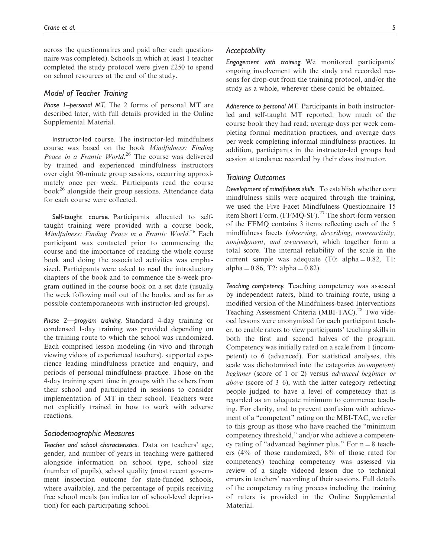across the questionnaires and paid after each questionnaire was completed). Schools in which at least 1 teacher completed the study protocol were given £250 to spend on school resources at the end of the study.

# Model of Teacher Training

Phase 1–personal MT. The 2 forms of personal MT are described later, with full details provided in the Online Supplemental Material.

Instructor-led course. The instructor-led mindfulness course was based on the book Mindfulness: Finding Peace in a Frantic World.<sup>26</sup> The course was delivered by trained and experienced mindfulness instructors over eight 90-minute group sessions, occurring approximately once per week. Participants read the course book<sup>26</sup> alongside their group sessions. Attendance data for each course were collected.

Self-taught course. Participants allocated to selftaught training were provided with a course book, Mindfulness: Finding Peace in a Frantic World.<sup>26</sup> Each participant was contacted prior to commencing the course and the importance of reading the whole course book and doing the associated activities was emphasized. Participants were asked to read the introductory chapters of the book and to commence the 8-week program outlined in the course book on a set date (usually the week following mail out of the books, and as far as possible contemporaneous with instructor-led groups).

Phase 2—program training. Standard 4-day training or condensed 1-day training was provided depending on the training route to which the school was randomized. Each comprised lesson modeling (in vivo and through viewing videos of experienced teachers), supported experience leading mindfulness practice and enquiry, and periods of personal mindfulness practice. Those on the 4-day training spent time in groups with the others from their school and participated in sessions to consider implementation of MT in their school. Teachers were not explicitly trained in how to work with adverse reactions.

#### Sociodemographic Measures

Teacher and school characteristics. Data on teachers' age, gender, and number of years in teaching were gathered alongside information on school type, school size (number of pupils), school quality (most recent government inspection outcome for state-funded schools, where available), and the percentage of pupils receiving free school meals (an indicator of school-level deprivation) for each participating school.

Engagement with training. We monitored participants' ongoing involvement with the study and recorded reasons for drop-out from the training protocol, and/or the study as a whole, wherever these could be obtained.

Adherence to personal MT. Participants in both instructorled and self-taught MT reported: how much of the course book they had read; average days per week completing formal meditation practices, and average days per week completing informal mindfulness practices. In addition, participants in the instructor-led groups had session attendance recorded by their class instructor.

#### Training Outcomes

Development of mindfulness skills. To establish whether core mindfulness skills were acquired through the training, we used the Five Facet Mindfulness Questionnaire–15 item Short Form. (FFMQ-SF).<sup>27</sup> The short-form version of the FFMQ contains 3 items reflecting each of the 5 mindfulness facets (observing, describing, nonreactivity, nonjudgment, and awareness), which together form a total score. The internal reliability of the scale in the current sample was adequate (T0: alpha  $= 0.82$ , T1:  $alpha = 0.86$ , T2:  $alpha = 0.82$ ).

Teaching competency. Teaching competency was assessed by independent raters, blind to training route, using a modified version of the Mindfulness-based Interventions Teaching Assessment Criteria (MBI-TAC).<sup>28</sup> Two videoed lessons were anonymized for each participant teacher, to enable raters to view participants' teaching skills in both the first and second halves of the program. Competency was initially rated on a scale from 1 (incompetent) to 6 (advanced). For statistical analyses, this scale was dichotomized into the categories incompetent/ beginner (score of 1 or 2) versus advanced beginner or above (score of 3–6), with the latter category reflecting people judged to have a level of competency that is regarded as an adequate minimum to commence teaching. For clarity, and to prevent confusion with achievement of a "competent" rating on the MBI-TAC, we refer to this group as those who have reached the "minimum competency threshold," and/or who achieve a competency rating of "advanced beginner plus." For  $n = 8$  teachers (4% of those randomized, 8% of those rated for competency) teaching competency was assessed via review of a single videoed lesson due to technical errors in teachers' recording of their sessions. Full details of the competency rating process including the training of raters is provided in the Online Supplemental Material.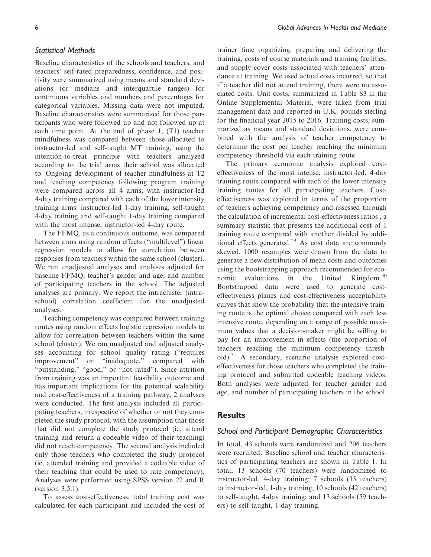# Statistical Methods

Baseline characteristics of the schools and teachers, and teachers' self-rated preparedness, confidence, and positivity were summarized using means and standard deviations (or medians and interquartile ranges) for continuous variables and numbers and percentages for categorical variables. Missing data were not imputed. Baseline characteristics were summarized for those participants who were followed up and not followed up at each time point. At the end of phase 1, (T1) teacher mindfulness was compared between those allocated to instructor-led and self-taught MT training, using the intention-to-treat principle with teachers analyzed according to the trial arms their school was allocated to. Ongoing development of teacher mindfulness at T2 and teaching competency following program training were compared across all 4 arms, with instructor-led 4-day training compared with each of the lower intensity training arms: instructor-led 1-day training, self-taught 4-day training and self-taught 1-day training compared with the most intense, instructor-led 4-day route.

The FFMQ, as a continuous outcome, was compared between arms using random effects ("multilevel") linear regression models to allow for correlation between responses from teachers within the same school (cluster). We ran unadjusted analyses and analyses adjusted for baseline FFMQ, teacher's gender and age, and number of participating teachers in the school. The adjusted analyses are primary. We report the intracluster (intraschool) correlation coefficient for the unadjusted analyses.

Teaching competency was compared between training routes using random effects logistic regression models to allow for correlation between teachers within the same school (cluster). We ran unadjusted and adjusted analyses accounting for school quality rating ("requires improvement" or "inadequate," compared with "outstanding," "good," or "not rated"). Since attrition from training was an important feasibility outcome and has important implications for the potential scalability and cost-effectiveness of a training pathway, 2 analyses were conducted. The first analysis included all participating teachers, irrespective of whether or not they completed the study protocol, with the assumption that those that did not complete the study protocol (ie, attend training and return a codeable video of their teaching) did not reach competency. The second analysis included only those teachers who completed the study protocol (ie, attended training and provided a codeable video of their teaching that could be used to rate competency). Analyses were performed using SPSS version 22 and R (version 3.5.1).

To assess cost-effectiveness, total training cost was calculated for each participant and included the cost of trainer time organizing, preparing and delivering the training, costs of course materials and training facilities, and supply cover costs associated with teachers' attendance at training. We used actual costs incurred, so that if a teacher did not attend training, there were no associated costs. Unit costs, summarized in Table S3 in the Online Supplemental Material, were taken from trial management data and reported in U.K. pounds sterling for the financial year 2015 to 2016. Training costs, summarized as means and standard deviations, were combined with the analysis of teacher competency to determine the cost per teacher reaching the minimum competency threshold via each training route.

The primary economic analysis explored costeffectiveness of the most intense, instructor-led, 4-day training route compared with each of the lower intensity training routes for all participating teachers. Costeffectiveness was explored in terms of the proportion of teachers achieving competency and assessed through the calculation of incremental cost-effectiveness ratios , a summary statistic that presents the additional cost of 1 training route compared with another divided by additional effects generated. $29$  As cost data are commonly skewed, 1000 resamples were drawn from the data to generate a new distribution of mean costs and outcomes using the bootstrapping approach recommended for economic evaluations in the United Kingdom.<sup>30</sup> Bootstrapped data were used to generate costeffectiveness planes and cost-effectiveness acceptability curves that show the probability that the intensive training route is the optimal choice compared with each less intensive route, depending on a range of possible maximum values that a decision-maker might be willing to pay for an improvement in effects (the proportion of teachers reaching the minimum competency threshold).<sup>31</sup> A secondary, scenario analysis explored costeffectiveness for those teachers who completed the training protocol and submitted codeable teaching videos. Both analyses were adjusted for teacher gender and age, and number of participating teachers in the school.

# **Results**

# School and Participant Demographic Characteristics

In total, 43 schools were randomized and 206 teachers were recruited. Baseline school and teacher characteristics of participating teachers are shown in Table 1. In total, 13 schools (70 teachers) were randomized to instructor-led, 4-day training; 7 schools (35 teachers) to instructor-led, 1-day training; 10 schools (42 teachers) to self-taught, 4-day training; and 13 schools (59 teachers) to self-taught, 1-day training.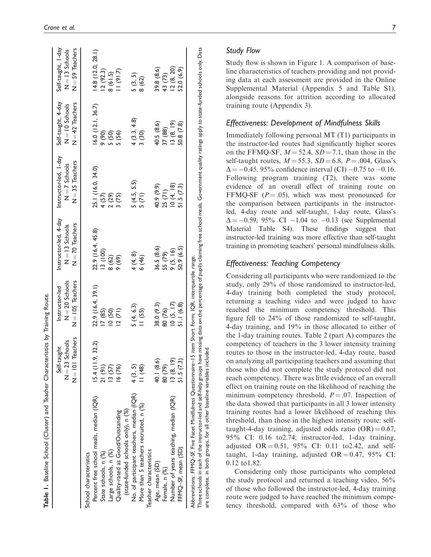| $N = 70$ Teachers<br>22.9 (16.4, 45.8)<br>3(100)<br>4(4, 8)<br>8(62)<br>(69)<br>$N = 105$ Teachers<br>22.9 (16.4, 39.1)<br>5(4, 6.3)<br>11(55)<br>17(85)<br>10(50)<br>12(71)<br>$N = 101$ Teachers<br>15.4(11.9, 32.2)<br>13(57)<br>4(3, 5)<br>11(48)<br>21(91)<br>16 (76)<br>No. of participant teachers, median (IQR)<br>Percent free school meals, median (IQR)<br>More than 5 teachers recruited, n (%)<br>(state-funded schools only), n (%)<br>Quality-rated as Good/Outstanding<br>Large schools, n (%)<br>State schools, n (%)<br>School characteristics |       | $N = 35$ Teachers<br>25.1 (16.0, 34.0)<br>4(57)<br>$\begin{array}{c} 2 (29) \\ 3 (75) \end{array}$ | $N = 42$ Teachers<br>16.0(12.1, 36.7)<br>(06) | $N = 59$ Teachers<br>14.8(12.0, 28.1)<br>12(92.3) |
|------------------------------------------------------------------------------------------------------------------------------------------------------------------------------------------------------------------------------------------------------------------------------------------------------------------------------------------------------------------------------------------------------------------------------------------------------------------------------------------------------------------------------------------------------------------|-------|----------------------------------------------------------------------------------------------------|-----------------------------------------------|---------------------------------------------------|
|                                                                                                                                                                                                                                                                                                                                                                                                                                                                                                                                                                  |       |                                                                                                    |                                               |                                                   |
|                                                                                                                                                                                                                                                                                                                                                                                                                                                                                                                                                                  |       |                                                                                                    |                                               |                                                   |
|                                                                                                                                                                                                                                                                                                                                                                                                                                                                                                                                                                  |       |                                                                                                    |                                               |                                                   |
|                                                                                                                                                                                                                                                                                                                                                                                                                                                                                                                                                                  |       |                                                                                                    | 5(50)                                         | 8(61.5)                                           |
|                                                                                                                                                                                                                                                                                                                                                                                                                                                                                                                                                                  |       |                                                                                                    | 5 (56)                                        | (21.7)                                            |
|                                                                                                                                                                                                                                                                                                                                                                                                                                                                                                                                                                  |       |                                                                                                    |                                               |                                                   |
|                                                                                                                                                                                                                                                                                                                                                                                                                                                                                                                                                                  |       |                                                                                                    | 4(3.3, 4.8)                                   | 5(3, 5)                                           |
|                                                                                                                                                                                                                                                                                                                                                                                                                                                                                                                                                                  | 6(46) | $5(4.5, 5.5)$<br>$5(71)$                                                                           | 3(30)                                         | 8 (62)                                            |
| Teacher characteristics                                                                                                                                                                                                                                                                                                                                                                                                                                                                                                                                          |       |                                                                                                    |                                               |                                                   |
| 36.5 (8.6)<br>38.0 (9.3)<br>40.1 (8.6)<br>Age, mean (SD)                                                                                                                                                                                                                                                                                                                                                                                                                                                                                                         |       | 40.9 (9.9)                                                                                         | 40.5 (8.6)                                    | 39.8 (8.6)                                        |
| 55 (79)<br>80 (76)<br>80 (79)<br>Female, n (%)                                                                                                                                                                                                                                                                                                                                                                                                                                                                                                                   |       | 25 (71)                                                                                            | 37 (88)                                       | 43 (73)                                           |
| 9(5, 16)<br>10(5, 17)<br>13 (8, 19)<br>Number of years teaching, median (IQR)                                                                                                                                                                                                                                                                                                                                                                                                                                                                                    |       | 10(4, 18)                                                                                          | 13(8, 19)                                     | 12(8, 20)                                         |
| 50.9 (6.5)<br>51.1(6.8)<br>51.5(7.3)<br>FFMQ-SF, mean (SD)                                                                                                                                                                                                                                                                                                                                                                                                                                                                                                       |       | 51.5(7.3)                                                                                          | 50.8 (7.8)                                    | 52.0 (6.9)                                        |

Study flow is shown in Figure 1. A comparison of baseline characteristics of teachers providing and not providing data at each assessment are provided in the Online Supplemental Material (Appendix 5 and Table S1), alongside reasons for attrition according to allocated training route (Appendix 3).

# Effectiveness: Development of Mindfulness Skills

Immediately following personal MT (T1) participants in the instructor-led routes had significantly higher scores on the FFMQ-SF,  $M = 52.4$ ,  $SD = 7.1$ , than those in the self-taught routes,  $M = 55.3$ ,  $SD = 6.8$ ,  $P = .004$ , Glass's  $\Delta = -0.45, 95\%$  confidence interval (CI)  $-0.75$  to  $-0.16$ . Following program training (T2), there was some evidence of an overall effect of training route on FFMQ-SF  $(P = .05)$ , which was most pronounced for the comparison between participants in the instructorled, 4-day route and self-taught, 1-day route, Glass's  $\Delta = -0.59, 95\% \text{ CI } -1.04 \text{ to } -0.13 \text{ (see Supplemental)}$ Material Table S4). These findings suggest that instructor-led training was more effective than self-taught training in promoting teachers' personal mindfulness skills.

# Effectiveness: Teaching Competency

Considering all participants who were randomized to the study, only 29% of those randomized to instructor-led, 4-day training both completed the study protocol, returning a teaching video and were judged to have reached the minimum competency threshold. This figure fell to 24% of those randomized to self-taught, 4-day training, and 19% in those allocated to either of the 1-day training routes. Table 2 (part A) compares the competency of teachers in the 3 lower intensity training routes to those in the instructor-led, 4-day route, based on analyzing all participating teachers and assuming that those who did not complete the study protocol did not reach competency. There was little evidence of an overall effect on training route on the likelihood of reaching the minimum competency threshold,  $P = .07$ . Inspection of the data showed that participants in all 3 lower intensity training routes had a lower likelihood of reaching this threshold, than those in the highest intensity route: selftaught-4-day training, adjusted odds ratio  $(OR) = 0.67$ , 95% CI: 0.16 to2.74; instructor-led, 1-day training, adjusted OR =  $0.51$ , 95% CI: 0.11 to 2.42, and selftaught, 1-day training, adjusted  $OR = 0.47$ , 95% CI: 0.12 to1.82.

Considering only those participants who completed the study protocol and returned a teaching video, 56% of those who followed the instructor-led, 4-day training route were judged to have reached the minimum competency threshold, compared with 63% of those who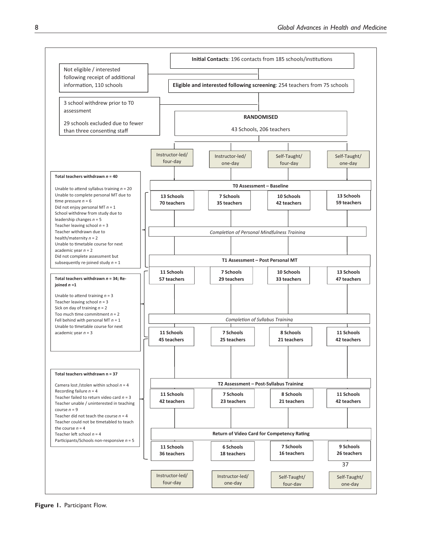

Figure 1. Participant Flow.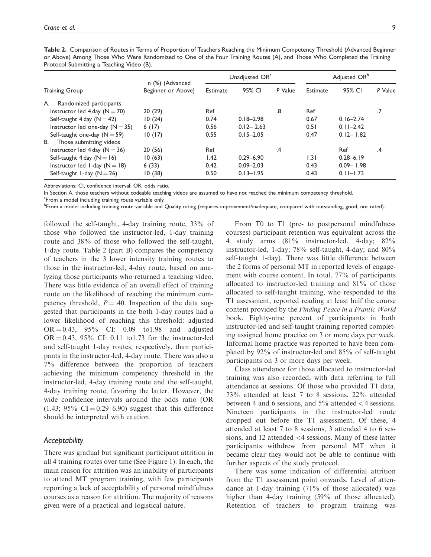|                                          | n (%) (Advanced    |          | Unadjusted OR <sup>a</sup> |               | Adjusted OR <sup>b</sup> |               |         |
|------------------------------------------|--------------------|----------|----------------------------|---------------|--------------------------|---------------|---------|
| Training Group                           | Beginner or Above) | Estimate | 95% CI                     | P Value       | Estimate                 | 95% CI        | P Value |
| Randomized participants<br>A.            |                    |          |                            |               |                          |               |         |
| Instructor led $4 \text{ day } (N = 70)$ | 20(29)             | Ref      |                            | .8            | Ref                      |               | .7      |
| Self-taught 4 day $(N = 42)$             | 10(24)             | 0.74     | $0.18 - 2.98$              |               | 0.67                     | $0.16 - 2.74$ |         |
| Instructor led one-day $(N = 35)$        | 6(17)              | 0.56     | $0.12 - 2.63$              |               | 0.51                     | $0.11 - 2.42$ |         |
| Self-taught one-day $(N = 59)$           | 10(17)             | 0.55     | $0.15 - 2.05$              |               | 0.47                     | $0.12 - 1.82$ |         |
| В.<br>Those submitting videos            |                    |          |                            |               |                          |               |         |
| Instructor led 4 day $(N = 36)$          | 20(56)             | Ref      |                            | $\mathcal{A}$ |                          | Ref           | .4      |
| Self-taught $4$ day (N = 16)             | 10(63)             | 1.42     | $0.29 - 6.90$              |               | 1.31                     | $0.28 - 6.19$ |         |
| Instructor led 1-day $(N = 18)$          | 6(33)              | 0.42     | $0.09 - 2.03$              |               | 0.43                     | $0.09 - 1.98$ |         |
| Self-taught 1-day $(N = 26)$             | 10(38)             | 0.50     | $0.13 - 1.95$              |               | 0.43                     | $0.11 - 1.73$ |         |

Table 2. Comparison of Routes in Terms of Proportion of Teachers Reaching the Minimum Competency Threshold (Advanced Beginner or Above) Among Those Who Were Randomized to One of the Four Training Routes (A), and Those Who Completed the Training Protocol Submitting a Teaching Video (B).

Abbreviations: CI, confidence interval; OR, odds ratio.

In Section A, those teachers without codeable teaching videos are assumed to have not reached the minimum competency threshold.

<sup>a</sup>From a model including training route variable only.

b<br>Prom a model including training route variable and Quality rating (requires improvement/inadequate, compared with outstanding, good, not rated).

followed the self-taught, 4-day training route, 33% of those who followed the instructor-led, 1-day training route and 38% of those who followed the self-taught, 1-day route. Table 2 (part B) compares the competency of teachers in the 3 lower intensity training routes to those in the instructor-led, 4-day route, based on analyzing those participants who returned a teaching video. There was little evidence of an overall effect of training route on the likelihood of reaching the minimum competency threshold,  $P = .40$ . Inspection of the data suggested that participants in the both 1-day routes had a lower likelihood of reaching this threshold: adjusted  $OR = 0.43$ ,  $95\%$  CI: 0.09 to1.98 and adjusted  $OR = 0.43$ , 95% CI: 0.11 to1.73 for the instructor-led and self-taught 1-day routes, respectively, than participants in the instructor-led, 4-day route. There was also a 7% difference between the proportion of teachers achieving the minimum competency threshold in the instructor-led, 4-day training route and the self-taught, 4-day training route, favoring the latter. However, the wide confidence intervals around the odds ratio (OR  $(1.43; 95\% \text{ CI} = 0.29 - 6.90)$  suggest that this difference should be interpreted with caution.

## Acceptability

There was gradual but significant participant attrition in all 4 training routes over time (See Figure 1). In each, the main reason for attrition was an inability of participants to attend MT program training, with few participants reporting a lack of acceptability of personal mindfulness courses as a reason for attrition. The majority of reasons given were of a practical and logistical nature.

From T0 to T1 (pre- to postpersonal mindfulness courses) participant retention was equivalent across the 4 study arms (81% instructor-led, 4-day; 82% instructor-led, 1-day; 78% self-taught, 4-day; and 80% self-taught 1-day). There was little difference between the 2 forms of personal MT in reported levels of engagement with course content. In total, 77% of participants allocated to instructor-led training and 81% of those allocated to self-taught training, who responded to the T1 assessment, reported reading at least half the course content provided by the Finding Peace in a Frantic World book. Eighty-nine percent of participants in both instructor-led and self-taught training reported completing assigned home practice on 3 or more days per week. Informal home practice was reported to have been completed by 92% of instructor-led and 85% of self-taught participants on 3 or more days per week.

Class attendance for those allocated to instructor-led training was also recorded, with data referring to full attendance at sessions. Of those who provided T1 data, 73% attended at least 7 to 8 sessions, 22% attended between 4 and 6 sessions, and  $5\%$  attended  $\lt$  4 sessions. Nineteen participants in the instructor-led route dropped out before the T1 assessment. Of these, 4 attended at least 7 to 8 sessions, 3 attended 4 to 6 sessions, and 12 attended <4 sessions. Many of these latter participants withdrew from personal MT when it became clear they would not be able to continue with further aspects of the study protocol.

There was some indication of differential attrition from the T1 assessment point onwards. Level of attendance at 1-day training (71% of those allocated) was higher than 4-day training (59% of those allocated). Retention of teachers to program training was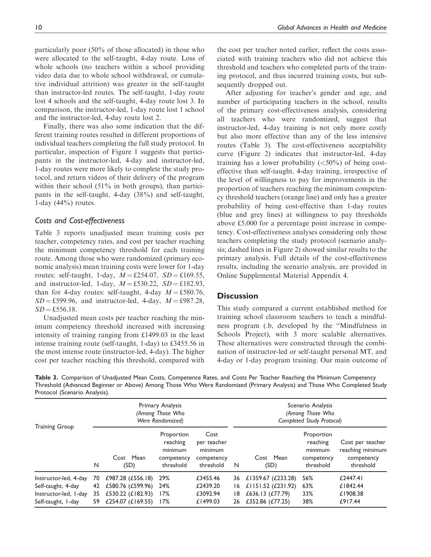particularly poor (50% of those allocated) in those who were allocated to the self-taught, 4-day route. Loss of whole schools (no teachers within a school providing video data due to whole school withdrawal, or cumulative individual attrition) was greater in the self-taught than instructor-led routes. The self-taught, 1-day route lost 4 schools and the self-taught, 4-day route lost 3. In comparison, the instructor-led, 1-day route lost 1 school and the instructor-led, 4-day route lost 2.

Finally, there was also some indication that the different training routes resulted in different proportions of individual teachers completing the full study protocol. In particular, inspection of Figure 1 suggests that participants in the instructor-led, 4-day and instructor-led, 1-day routes were more likely to complete the study protocol, and return videos of their delivery of the program within their school (51% in both groups), than participants in the self-taught, 4-day (38%) and self-taught, 1-day  $(44\%)$  routes.

## Costs and Cost-effectiveness

Table 3 reports unadjusted mean training costs per teacher, competency rates, and cost per teacher reaching the minimum competency threshold for each training route. Among those who were randomized (primary economic analysis) mean training costs were lower for 1-day routes: self-taught, 1-day,  $M = \pounds 254.07$ ,  $SD = \pounds 169.55$ , and instructor-led, 1-day,  $M = \text{\textsterling}530.22$ ,  $SD = \text{\textsterling}182.93$ , than for 4-day routes: self-taught, 4-day  $M = \text{\pounds}580.76$ ,  $SD = \text{\textsterling}599.96$ , and instructor-led, 4-day,  $M = \text{\textsterling}987.28$ ,  $SD = £556.18.$ 

Unadjusted mean costs per teacher reaching the minimum competency threshold increased with increasing intensity of training ranging from £1499.03 in the least intense training route (self-taught, 1-day) to £3455.56 in the most intense route (instructor-led, 4-day). The higher cost per teacher reaching this threshold, compared with the cost per teacher noted earlier, reflect the costs associated with training teachers who did not achieve this threshold and teachers who completed parts of the training protocol, and thus incurred training costs, but subsequently dropped out.

After adjusting for teacher's gender and age, and number of participating teachers in the school, results of the primary cost-effectiveness analysis, considering all teachers who were randomized, suggest that instructor-led, 4-day training is not only more costly but also more effective than any of the less intensive routes (Table 3). The cost-effectiveness acceptability curve (Figure 2) indicates that instructor-led, 4-day training has a lower probability  $(<50\%)$  of being costeffective than self-taught, 4-day training, irrespective of the level of willingness to pay for improvements in the proportion of teachers reaching the minimum competency threshold teachers (orange line) and only has a greater probability of being cost-effective than 1-day routes (blue and grey lines) at willingness to pay thresholds above £5,000 for a percentage point increase in competency. Cost-effectiveness analyses considering only those teachers completing the study protocol (scenario analysis; dashed lines in Figure 2) showed similar results to the primary analysis. Full details of the cost-effectiveness results, including the scenario analysis, are provided in Online Supplemental Material Appendix 4.

# **Discussion**

This study compared a current established method for training school classroom teachers to teach a mindfulness program (.b, developed by the "Mindfulness in Schools Project), with 3 more scalable alternatives. These alternatives were constructed through the combination of instructor-led or self-taught personal MT, and 4-day or 1-day program training. Our main outcome of

Table 3. Comparison of Unadjusted Mean Costs, Competence Rates, and Costs Per Teacher Reaching the Minimum Competency Threshold (Advanced Beginner or Above) Among Those Who Were Randomized (Primary Analysis) and Those Who Completed Study Protocol (Scenario Analysis).

|                       | Primary Analysis<br>(Among Those Who<br>Were Randomized) |                     |                                                              |                                                           | Scenario Analysis<br>(Among Those Who<br>Completed Study Protocol) |                      |                                                              |                                                                 |
|-----------------------|----------------------------------------------------------|---------------------|--------------------------------------------------------------|-----------------------------------------------------------|--------------------------------------------------------------------|----------------------|--------------------------------------------------------------|-----------------------------------------------------------------|
| <b>Training Group</b> | N                                                        | Cost Mean<br>(SD)   | Proportion<br>reaching<br>minimum<br>competency<br>threshold | Cost<br>per teacher<br>minimum<br>competency<br>threshold | N                                                                  | Cost Mean<br>(SD)    | Proportion<br>reaching<br>minimum<br>competency<br>threshold | Cost per teacher<br>reaching minimum<br>competency<br>threshold |
| Instructor-led, 4-day | 70                                                       | £987.28 (£556.18)   | 29%                                                          | £3455.46                                                  | 36                                                                 | £1359.67 (£233.28)   | 56%                                                          | £2447.41                                                        |
| Self-taught, 4-day    | 42                                                       | £580.76 (£599.96)   | 24%                                                          | £2439.20                                                  | 16                                                                 | £1151.52 $(E231.92)$ | 63%                                                          | £1842.44                                                        |
| Instructor-led, I-day | 35                                                       | £530.22 (£182.93)   | 17%                                                          | £3092.94                                                  | 18                                                                 | £636.13 (£77.79)     | 33%                                                          | £1908.38                                                        |
| Self-taught, I-day    | 59                                                       | £254.07 $(E169.55)$ | 17%                                                          | £1499.03                                                  | 26                                                                 | £352.86 (£77.25)     | 38%                                                          | £917.44                                                         |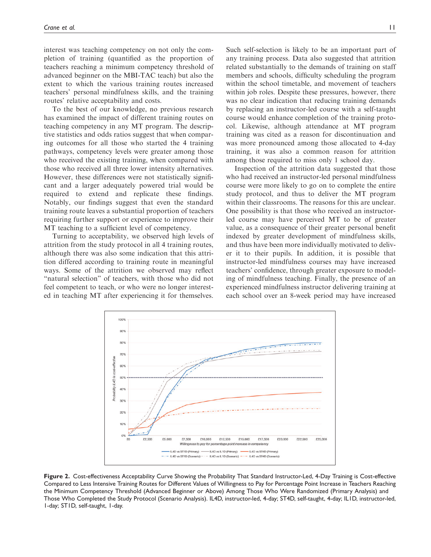interest was teaching competency on not only the completion of training (quantified as the proportion of teachers reaching a minimum competency threshold of advanced beginner on the MBI-TAC teach) but also the extent to which the various training routes increased teachers' personal mindfulness skills, and the training routes' relative acceptability and costs.

To the best of our knowledge, no previous research has examined the impact of different training routes on teaching competency in any MT program. The descriptive statistics and odds ratios suggest that when comparing outcomes for all those who started the 4 training pathways, competency levels were greater among those who received the existing training, when compared with those who received all three lower intensity alternatives. However, these differences were not statistically significant and a larger adequately powered trial would be required to extend and replicate these findings. Notably, our findings suggest that even the standard training route leaves a substantial proportion of teachers requiring further support or experience to improve their MT teaching to a sufficient level of competency.

Turning to acceptability, we observed high levels of attrition from the study protocol in all 4 training routes, although there was also some indication that this attrition differed according to training route in meaningful ways. Some of the attrition we observed may reflect "natural selection" of teachers, with those who did not feel competent to teach, or who were no longer interested in teaching MT after experiencing it for themselves.

Such self-selection is likely to be an important part of any training process. Data also suggested that attrition related substantially to the demands of training on staff members and schools, difficulty scheduling the program within the school timetable, and movement of teachers within job roles. Despite these pressures, however, there was no clear indication that reducing training demands by replacing an instructor-led course with a self-taught course would enhance completion of the training protocol. Likewise, although attendance at MT program training was cited as a reason for discontinuation and was more pronounced among those allocated to 4-day training, it was also a common reason for attrition among those required to miss only 1 school day.

Inspection of the attrition data suggested that those who had received an instructor-led personal mindfulness course were more likely to go on to complete the entire study protocol, and thus to deliver the MT program within their classrooms. The reasons for this are unclear. One possibility is that those who received an instructorled course may have perceived MT to be of greater value, as a consequence of their greater personal benefit indexed by greater development of mindfulness skills, and thus have been more individually motivated to deliver it to their pupils. In addition, it is possible that instructor-led mindfulness courses may have increased teachers' confidence, through greater exposure to modeling of mindfulness teaching. Finally, the presence of an experienced mindfulness instructor delivering training at each school over an 8-week period may have increased



Figure 2. Cost-effectiveness Acceptability Curve Showing the Probability That Standard Instructor-Led, 4-Day Training is Cost-effective Compared to Less Intensive Training Routes for Different Values of Willingness to Pay for Percentage Point Increase in Teachers Reaching the Minimum Competency Threshold (Advanced Beginner or Above) Among Those Who Were Randomized (Primary Analysis) and Those Who Completed the Study Protocol (Scenario Analysis). IL4D, instructor-led, 4-day; ST4D, self-taught, 4-day; IL1D, instructor-led, 1-day; ST1D, self-taught, 1-day.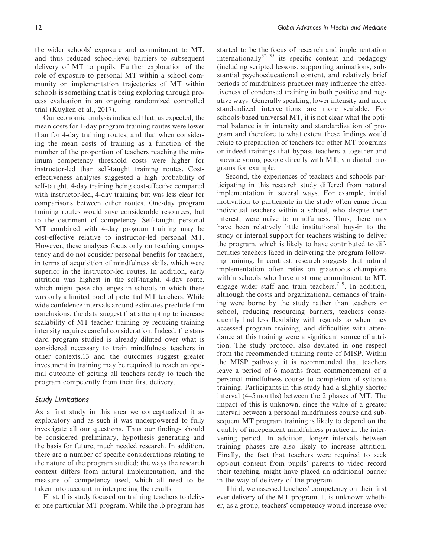the wider schools' exposure and commitment to MT, and thus reduced school-level barriers to subsequent delivery of MT to pupils. Further exploration of the role of exposure to personal MT within a school community on implementation trajectories of MT within schools is something that is being exploring through process evaluation in an ongoing randomized controlled trial (Kuyken et al., 2017).

Our economic analysis indicated that, as expected, the mean costs for 1-day program training routes were lower than for 4-day training routes, and that when considering the mean costs of training as a function of the number of the proportion of teachers reaching the minimum competency threshold costs were higher for instructor-led than self-taught training routes. Costeffectiveness analyses suggested a high probability of self-taught, 4-day training being cost-effective compared with instructor-led, 4-day training but was less clear for comparisons between other routes. One-day program training routes would save considerable resources, but to the detriment of competency. Self-taught personal MT combined with 4-day program training may be cost-effective relative to instructor-led personal MT. However, these analyses focus only on teaching competency and do not consider personal benefits for teachers, in terms of acquisition of mindfulness skills, which were superior in the instructor-led routes. In addition, early attrition was highest in the self-taught, 4-day route, which might pose challenges in schools in which there was only a limited pool of potential MT teachers. While wide confidence intervals around estimates preclude firm conclusions, the data suggest that attempting to increase scalability of MT teacher training by reducing training intensity requires careful consideration. Indeed, the standard program studied is already diluted over what is considered necessary to train mindfulness teachers in other contexts,13 and the outcomes suggest greater investment in training may be required to reach an optimal outcome of getting all teachers ready to teach the program competently from their first delivery.

## Study Limitations

As a first study in this area we conceptualized it as exploratory and as such it was underpowered to fully investigate all our questions. Thus our findings should be considered preliminary, hypothesis generating and the basis for future, much needed research. In addition, there are a number of specific considerations relating to the nature of the program studied; the ways the research context differs from natural implementation, and the measure of competency used, which all need to be taken into account in interpreting the results.

First, this study focused on training teachers to deliver one particular MT program. While the .b program has started to be the focus of research and implementation internationally $32-35$  its specific content and pedagogy (including scripted lessons, supporting animations, substantial psychoeducational content, and relatively brief periods of mindfulness practice) may influence the effectiveness of condensed training in both positive and negative ways. Generally speaking, lower intensity and more standardized interventions are more scalable. For schools-based universal MT, it is not clear what the optimal balance is in intensity and standardization of program and therefore to what extent these findings would relate to preparation of teachers for other MT programs or indeed trainings that bypass teachers altogether and provide young people directly with MT, via digital programs for example.

Second, the experiences of teachers and schools participating in this research study differed from natural implementation in several ways. For example, initial motivation to participate in the study often came from individual teachers within a school, who despite their interest, were naïve to mindfulness. Thus, there may have been relatively little institutional buy-in to the study or internal support for teachers wishing to deliver the program, which is likely to have contributed to difficulties teachers faced in delivering the program following training. In contrast, research suggests that natural implementation often relies on grassroots champions within schools who have a strong commitment to MT, engage wider staff and train teachers.<sup>7-9</sup>. In addition, although the costs and organizational demands of training were borne by the study rather than teachers or school, reducing resourcing barriers, teachers consequently had less flexibility with regards to when they accessed program training, and difficulties with attendance at this training were a significant source of attrition. The study protocol also deviated in one respect from the recommended training route of MISP. Within the MISP pathway, it is recommended that teachers leave a period of 6 months from commencement of a personal mindfulness course to completion of syllabus training. Participants in this study had a slightly shorter interval (4–5 months) between the 2 phases of MT. The impact of this is unknown, since the value of a greater interval between a personal mindfulness course and subsequent MT program training is likely to depend on the quality of independent mindfulness practice in the intervening period. In addition, longer intervals between training phases are also likely to increase attrition. Finally, the fact that teachers were required to seek opt-out consent from pupils' parents to video record their teaching, might have placed an additional barrier in the way of delivery of the program.

Third, we assessed teachers' competency on their first ever delivery of the MT program. It is unknown whether, as a group, teachers' competency would increase over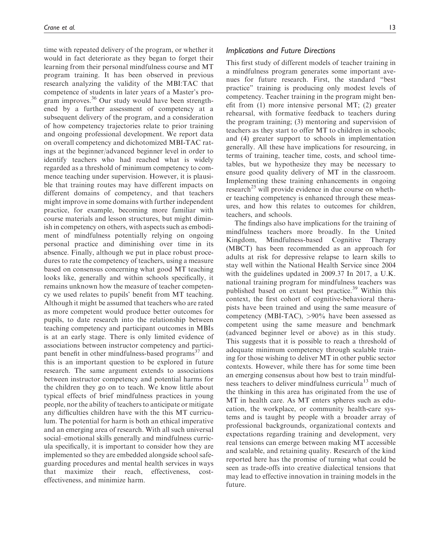time with repeated delivery of the program, or whether it would in fact deteriorate as they began to forget their learning from their personal mindfulness course and MT program training. It has been observed in previous research analyzing the validity of the MBI:TAC that competence of students in later years of a Master's program improves. $36$  Our study would have been strengthened by a further assessment of competency at a subsequent delivery of the program, and a consideration of how competency trajectories relate to prior training and ongoing professional development. We report data on overall competency and dichotomized MBI-TAC ratings at the beginner/advanced beginner level in order to identify teachers who had reached what is widely regarded as a threshold of minimum competency to commence teaching under supervision. However, it is plausible that training routes may have different impacts on different domains of competency, and that teachers might improve in some domains with further independent practice, for example, becoming more familiar with course materials and lesson structures, but might diminish in competency on others, with aspects such as embodiment of mindfulness potentially relying on ongoing personal practice and diminishing over time in its absence. Finally, although we put in place robust procedures to rate the competency of teachers, using a measure based on consensus concerning what good MT teaching looks like, generally and within schools specifically, it remains unknown how the measure of teacher competency we used relates to pupils' benefit from MT teaching. Although it might be assumed that teachers who are rated as more competent would produce better outcomes for pupils, to date research into the relationship between teaching competency and participant outcomes in MBIs is at an early stage. There is only limited evidence of associations between instructor competency and participant benefit in other mindfulness-based programs $<sup>37</sup>$  and</sup> this is an important question to be explored in future research. The same argument extends to associations between instructor competency and potential harms for the children they go on to teach. We know little about typical effects of brief mindfulness practices in young people, nor the ability of teachers to anticipate or mitigate any difficulties children have with the this MT curriculum. The potential for harm is both an ethical imperative and an emerging area of research. With all such universal social–emotional skills generally and mindfulness curricula specifically, it is important to consider how they are implemented so they are embedded alongside school safeguarding procedures and mental health services in ways that maximize their reach, effectiveness, costeffectiveness, and minimize harm.

## Implications and Future Directions

This first study of different models of teacher training in a mindfulness program generates some important avenues for future research. First, the standard "best practice" training is producing only modest levels of competency. Teacher training in the program might benefit from (1) more intensive personal MT; (2) greater rehearsal, with formative feedback to teachers during the program training; (3) mentoring and supervision of teachers as they start to offer MT to children in schools; and (4) greater support to schools in implementation generally. All these have implications for resourcing, in terms of training, teacher time, costs, and school timetables, but we hypothesize they may be necessary to ensure good quality delivery of MT in the classroom. Implementing these training enhancements in ongoing research<sup>25</sup> will provide evidence in due course on whether teaching competency is enhanced through these measures, and how this relates to outcomes for children, teachers, and schools.

The findings also have implications for the training of mindfulness teachers more broadly. In the United Kingdom, Mindfulness-based Cognitive Therapy (MBCT) has been recommended as an approach for adults at risk for depressive relapse to learn skills to stay well within the National Health Service since 2004 with the guidelines updated in 2009.37 In 2017, a U.K. national training program for mindfulness teachers was published based on extant best practice.<sup>39</sup> Within this context, the first cohort of cognitive-behavioral therapists have been trained and using the same measure of competency (MBI-TAC), >90% have been assessed as competent using the same measure and benchmark (advanced beginner level or above) as in this study. This suggests that it is possible to reach a threshold of adequate minimum competency through scalable training for those wishing to deliver MT in other public sector contexts. However, while there has for some time been an emerging consensus about how best to train mindfulness teachers to deliver mindfulness curricula<sup>13</sup> much of the thinking in this area has originated from the use of MT in health care. As MT enters spheres such as education, the workplace, or community health-care systems and is taught by people with a broader array of professional backgrounds, organizational contexts and expectations regarding training and development, very real tensions can emerge between making MT accessible and scalable, and retaining quality. Research of the kind reported here has the promise of turning what could be seen as trade-offs into creative dialectical tensions that may lead to effective innovation in training models in the future.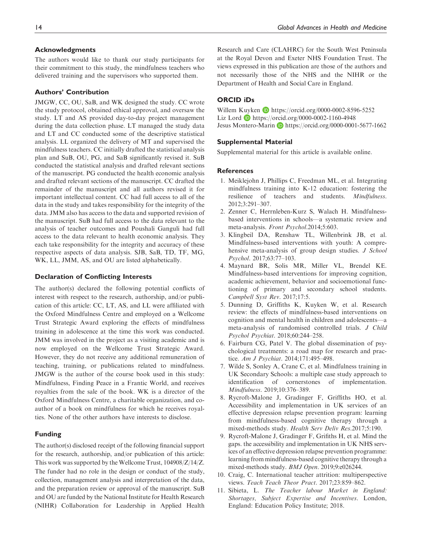### Acknowledgments

The authors would like to thank our study participants for their commitment to this study, the mindfulness teachers who delivered training and the supervisors who supported them.

#### Authors' Contribution

JMGW, CC, OU, SaB, and WK designed the study. CC wrote the study protocol, obtained ethical approval, and oversaw the study. LT and AS provided day-to-day project management during the data collection phase. LT managed the study data and LT and CC conducted some of the descriptive statistical analysis. LL organized the delivery of MT and supervised the mindfulness teachers. CC initially drafted the statistical analysis plan and SuB, OU, PG, and SaB significantly revised it. SuB conducted the statistical analysis and drafted relevant sections of the manuscript. PG conducted the health economic analysis and drafted relevant sections of the manuscript. CC drafted the remainder of the manuscript and all authors revised it for important intellectual content. CC had full access to all of the data in the study and takes responsibility for the integrity of the data. JMM also has access to the data and supported revision of the manuscript. SuB had full access to the data relevant to the analysis of teacher outcomes and Poushali Ganguli had full access to the data relevant to health economic analysis. They each take responsibility for the integrity and accuracy of these respective aspects of data analysis. SJB, SaB, TD, TF, MG, WK, LL, JMM, AS, and OU are listed alphabetically.

#### Declaration of Conflicting Interests

The author(s) declared the following potential conflicts of interest with respect to the research, authorship, and/or publication of this article: CC, LT, AS, and LL were affiliated with the Oxford Mindfulness Centre and employed on a Wellcome Trust Strategic Award exploring the effects of mindfulness training in adolescence at the time this work was conducted. JMM was involved in the project as a visiting academic and is now employed on the Wellcome Trust Strategic Award. However, they do not receive any additional remuneration of teaching, training, or publications related to mindfulness. JMGW is the author of the course book used in this study: Mindfulness, Finding Peace in a Frantic World, and receives royalties from the sale of the book. WK is a director of the Oxford Mindfulness Centre, a charitable organization, and coauthor of a book on mindfulness for which he receives royalties. None of the other authors have interests to disclose.

#### Funding

The author(s) disclosed receipt of the following financial support for the research, authorship, and/or publication of this article: This work was supported by the Wellcome Trust, 104908/Z/14/Z. The funder had no role in the design or conduct of the study, collection, management analysis and interpretation of the data, and the preparation review or approval of the manuscript. SuB and OU are funded by the National Institute for Health Research (NIHR) Collaboration for Leadership in Applied Health Research and Care (CLAHRC) for the South West Peninsula at the Royal Devon and Exeter NHS Foundation Trust. The views expressed in this publication are those of the authors and not necessarily those of the NHS and the NIHR or the Department of Health and Social Care in England.

## ORCID iDs

Willem Kuyken **b** <https://orcid.org/0000-0002-8596-5252> Liz Lord <https://orcid.org/0000-0002-1160-4948> Jesus Montero-Marin D <https://orcid.org/0000-0001-5677-1662>

#### Supplemental Material

Supplemental material for this article is available online.

#### **References**

- 1. Meiklejohn J, Phillips C, Freedman ML, et al. Integrating mindfulness training into K-12 education: fostering the resilience of teachers and students. Mindfulness. 2012;3:291–307.
- 2. Zenner C, Herrnleben-Kurz S, Walach H. Mindfulnessbased interventions in schools—a systematic review and meta-analysis. Front Psychol.2014;5:603.
- 3. Klingbeil DA, Renshaw TL, Willenbrink JB, et al. Mindfulness-based interventions with youth: A comprehensive meta-analysis of group design studies. J School Psychol. 2017;63:77–103.
- 4. Maynard BR, Solis MR, Miller VL, Brendel KE. Mindfulness-based interventions for improving cognition, academic achievement, behavior and socioemotional functioning of primary and secondary school students. Campbell Syst Rev. 2017;17:5.
- 5. Dunning D, Griffiths K, Kuyken W, et al. Research review: the effects of mindfulness-based interventions on cognition and mental health in children and adolescents—a meta-analysis of randomised controlled trials. J Child Psychol Psychiat. 2018;60:244–258.
- 6. Fairburn CG, Patel V. The global dissemination of psychological treatments: a road map for research and practice. Am J Psychiat. 2014;171:495–498.
- 7. Wilde S, Sonley A, Crane C, et al. Mindfulness training in UK Secondary Schools: a multiple case study approach to identification of cornerstones of implementation. Mindfulness. 2019;10:376–389.
- 8. Rycroft-Malone J, Gradinger F, Griffiths HO, et al. Accessibility and implementation in UK services of an effective depression relapse prevention program: learning from mindfulness-based cognitive therapy through a mixed-methods study. Health Serv Deliv Res.2017;5:190.
- 9. Rycroft-Malone J, Gradinger F, Grifiths H, et al. Mind the gaps. the accessibility and implementation in UK NHS services of an effective depression relapse prevention programme: learning from mindfulness-based cognitive therapy through a mixed-methods study. BMJ Open. 2019;9:e026244.
- 10. Craig, C. International teacher attrition: multiperspective views. Teach Teach Theor Pract. 2017;23:859–862.
- 11. Sibieta, L. The Teacher labour Market in England: Shortages, Subject Expertise and Incentives. London, England: Education Policy Institute; 2018.